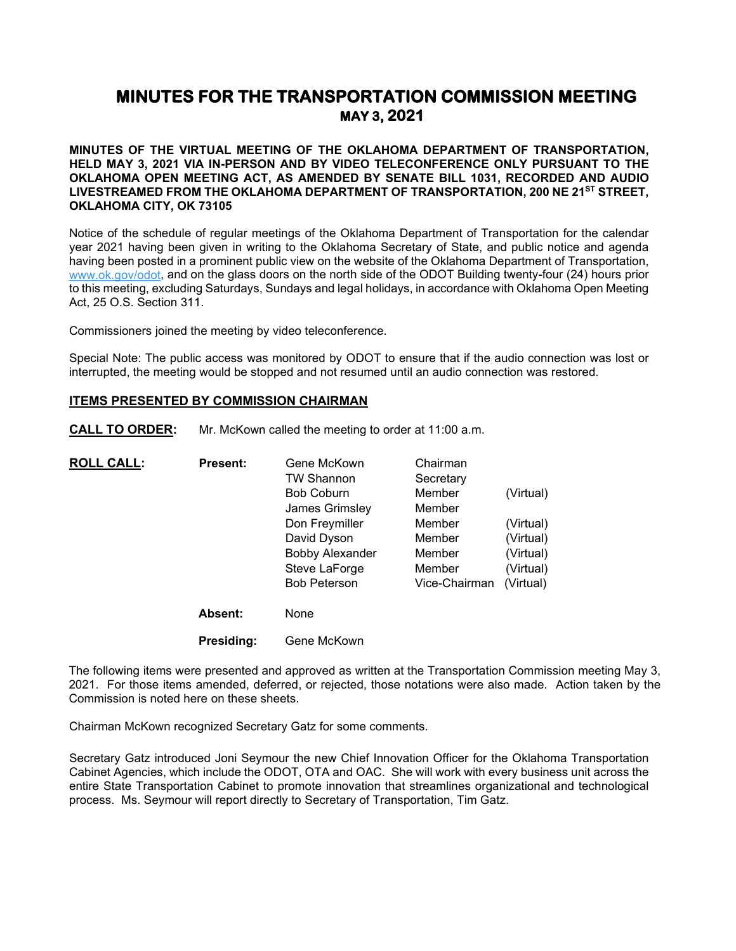# **MINUTES FOR THE TRANSPORTATION COMMISSION MEETING MAY 3, 2021**

**MINUTES OF THE VIRTUAL MEETING OF THE OKLAHOMA DEPARTMENT OF TRANSPORTATION, HELD MAY 3, 2021 VIA IN-PERSON AND BY VIDEO TELECONFERENCE ONLY PURSUANT TO THE OKLAHOMA OPEN MEETING ACT, AS AMENDED BY SENATE BILL 1031, RECORDED AND AUDIO LIVESTREAMED FROM THE OKLAHOMA DEPARTMENT OF TRANSPORTATION, 200 NE 21ST STREET, OKLAHOMA CITY, OK 73105**

Notice of the schedule of regular meetings of the Oklahoma Department of Transportation for the calendar year 2021 having been given in writing to the Oklahoma Secretary of State, and public notice and agenda having been posted in a prominent public view on the website of the Oklahoma Department of Transportation, [www.ok.gov/odot,](http://www.ok.gov/odot) and on the glass doors on the north side of the ODOT Building twenty-four (24) hours prior to this meeting, excluding Saturdays, Sundays and legal holidays, in accordance with Oklahoma Open Meeting Act, 25 O.S. Section 311.

Commissioners joined the meeting by video teleconference.

Special Note: The public access was monitored by ODOT to ensure that if the audio connection was lost or interrupted, the meeting would be stopped and not resumed until an audio connection was restored.

## **ITEMS PRESENTED BY COMMISSION CHAIRMAN**

**CALL TO ORDER:** Mr. McKown called the meeting to order at 11:00 a.m.

| <b>ROLL CALL:</b> | <b>Present:</b> | Gene McKown            | Chairman      |           |
|-------------------|-----------------|------------------------|---------------|-----------|
|                   |                 | <b>TW Shannon</b>      | Secretary     |           |
|                   |                 | <b>Bob Coburn</b>      | Member        | (Virtual) |
|                   |                 | James Grimsley         | Member        |           |
|                   |                 | Don Freymiller         | Member        | (Virtual) |
|                   |                 | David Dyson            | Member        | (Virtual) |
|                   |                 | <b>Bobby Alexander</b> | Member        | (Virtual) |
|                   |                 | Steve LaForge          | Member        | (Virtual) |
|                   |                 | <b>Bob Peterson</b>    | Vice-Chairman | (Virtual) |
|                   | Absent:         | None                   |               |           |
|                   | Presidina:      | Gene McKown            |               |           |

The following items were presented and approved as written at the Transportation Commission meeting May 3, 2021. For those items amended, deferred, or rejected, those notations were also made. Action taken by the Commission is noted here on these sheets.

Chairman McKown recognized Secretary Gatz for some comments.

Secretary Gatz introduced Joni Seymour the new Chief Innovation Officer for the Oklahoma Transportation Cabinet Agencies, which include the ODOT, OTA and OAC. She will work with every business unit across the entire State Transportation Cabinet to promote innovation that streamlines organizational and technological process. Ms. Seymour will report directly to Secretary of Transportation, Tim Gatz.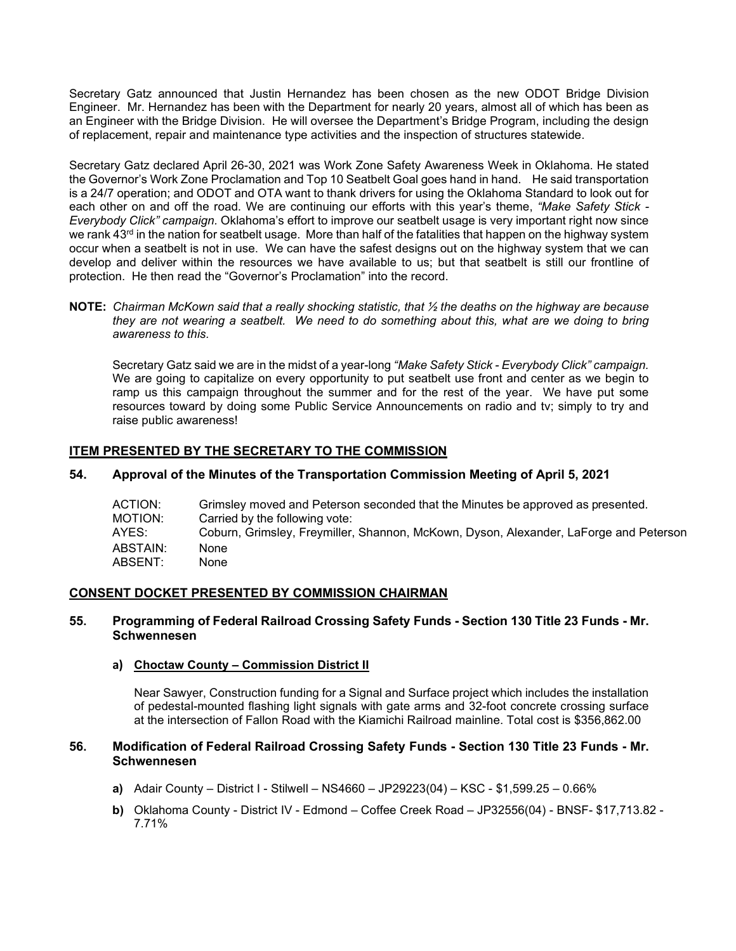Secretary Gatz announced that Justin Hernandez has been chosen as the new ODOT Bridge Division Engineer. Mr. Hernandez has been with the Department for nearly 20 years, almost all of which has been as an Engineer with the Bridge Division. He will oversee the Department's Bridge Program, including the design of replacement, repair and maintenance type activities and the inspection of structures statewide.

Secretary Gatz declared April 26-30, 2021 was Work Zone Safety Awareness Week in Oklahoma. He stated the Governor's Work Zone Proclamation and Top 10 Seatbelt Goal goes hand in hand. He said transportation is a 24/7 operation; and ODOT and OTA want to thank drivers for using the Oklahoma Standard to look out for each other on and off the road. We are continuing our efforts with this year's theme, *"Make Safety Stick - Everybody Click" campaign.* Oklahoma's effort to improve our seatbelt usage is very important right now since we rank 43<sup>rd</sup> in the nation for seatbelt usage. More than half of the fatalities that happen on the highway system occur when a seatbelt is not in use. We can have the safest designs out on the highway system that we can develop and deliver within the resources we have available to us; but that seatbelt is still our frontline of protection. He then read the "Governor's Proclamation" into the record.

**NOTE:** *Chairman McKown said that a really shocking statistic, that ½ the deaths on the highway are because they are not wearing a seatbelt. We need to do something about this, what are we doing to bring awareness to this.*

Secretary Gatz said we are in the midst of a year-long *"Make Safety Stick - Everybody Click" campaign.*  We are going to capitalize on every opportunity to put seatbelt use front and center as we begin to ramp us this campaign throughout the summer and for the rest of the year. We have put some resources toward by doing some Public Service Announcements on radio and tv; simply to try and raise public awareness!

# **ITEM PRESENTED BY THE SECRETARY TO THE COMMISSION**

# **54. Approval of the Minutes of the Transportation Commission Meeting of April 5, 2021**

| ACTION:<br>MOTION: | Grimsley moved and Peterson seconded that the Minutes be approved as presented.<br>Carried by the following vote: |
|--------------------|-------------------------------------------------------------------------------------------------------------------|
| AYES:              | Coburn, Grimsley, Freymiller, Shannon, McKown, Dyson, Alexander, LaForge and Peterson                             |
| ABSTAIN:           | None                                                                                                              |
| ABSENT:            | None                                                                                                              |

## **CONSENT DOCKET PRESENTED BY COMMISSION CHAIRMAN**

## **55. Programming of Federal Railroad Crossing Safety Funds - Section 130 Title 23 Funds - Mr. Schwennesen**

## **a) Choctaw County – Commission District II**

Near Sawyer, Construction funding for a Signal and Surface project which includes the installation of pedestal-mounted flashing light signals with gate arms and 32-foot concrete crossing surface at the intersection of Fallon Road with the Kiamichi Railroad mainline. Total cost is \$356,862.00

# **56. Modification of Federal Railroad Crossing Safety Funds - Section 130 Title 23 Funds - Mr. Schwennesen**

- **a)** Adair County District I Stilwell NS4660 JP29223(04) KSC \$1,599.25 0.66%
- **b)** Oklahoma County District IV Edmond Coffee Creek Road JP32556(04) BNSF- \$17,713.82 7.71%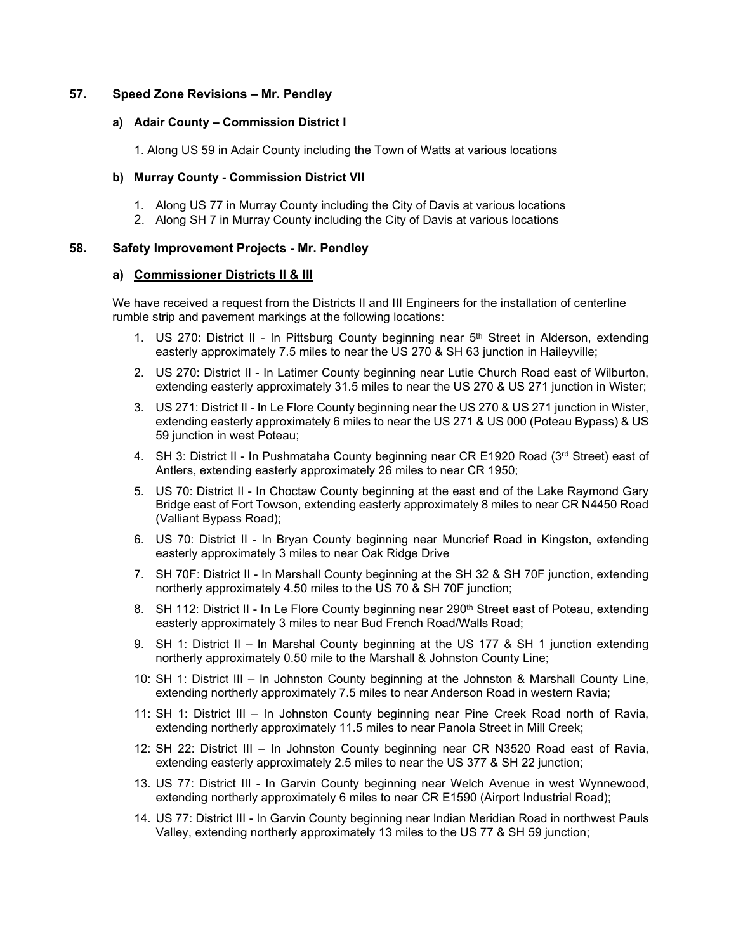# **57. Speed Zone Revisions – Mr. Pendley**

# **a) Adair County – Commission District I**

1. Along US 59 in Adair County including the Town of Watts at various locations

# **b) Murray County - Commission District VII**

- 1. Along US 77 in Murray County including the City of Davis at various locations
- 2. Along SH 7 in Murray County including the City of Davis at various locations

# **58. Safety Improvement Projects - Mr. Pendley**

# **a) Commissioner Districts II & III**

We have received a request from the Districts II and III Engineers for the installation of centerline rumble strip and pavement markings at the following locations:

- 1. US 270: District II In Pittsburg County beginning near  $5<sup>th</sup>$  Street in Alderson, extending easterly approximately 7.5 miles to near the US 270 & SH 63 junction in Haileyville;
- 2. US 270: District II In Latimer County beginning near Lutie Church Road east of Wilburton, extending easterly approximately 31.5 miles to near the US 270 & US 271 junction in Wister;
- 3. US 271: District II In Le Flore County beginning near the US 270 & US 271 junction in Wister, extending easterly approximately 6 miles to near the US 271 & US 000 (Poteau Bypass) & US 59 junction in west Poteau;
- 4. SH 3: District II In Pushmataha County beginning near CR E1920 Road (3<sup>rd</sup> Street) east of Antlers, extending easterly approximately 26 miles to near CR 1950;
- 5. US 70: District II In Choctaw County beginning at the east end of the Lake Raymond Gary Bridge east of Fort Towson, extending easterly approximately 8 miles to near CR N4450 Road (Valliant Bypass Road);
- 6. US 70: District II In Bryan County beginning near Muncrief Road in Kingston, extending easterly approximately 3 miles to near Oak Ridge Drive
- 7. SH 70F: District II In Marshall County beginning at the SH 32 & SH 70F junction, extending northerly approximately 4.50 miles to the US 70 & SH 70F junction;
- 8. SH 112: District II In Le Flore County beginning near 290<sup>th</sup> Street east of Poteau, extending easterly approximately 3 miles to near Bud French Road/Walls Road;
- 9. SH 1: District II In Marshal County beginning at the US 177 & SH 1 junction extending northerly approximately 0.50 mile to the Marshall & Johnston County Line;
- 10: SH 1: District III In Johnston County beginning at the Johnston & Marshall County Line, extending northerly approximately 7.5 miles to near Anderson Road in western Ravia;
- 11: SH 1: District III In Johnston County beginning near Pine Creek Road north of Ravia, extending northerly approximately 11.5 miles to near Panola Street in Mill Creek;
- 12: SH 22: District III In Johnston County beginning near CR N3520 Road east of Ravia, extending easterly approximately 2.5 miles to near the US 377 & SH 22 junction;
- 13. US 77: District III In Garvin County beginning near Welch Avenue in west Wynnewood, extending northerly approximately 6 miles to near CR E1590 (Airport Industrial Road);
- 14. US 77: District III In Garvin County beginning near Indian Meridian Road in northwest Pauls Valley, extending northerly approximately 13 miles to the US 77 & SH 59 junction;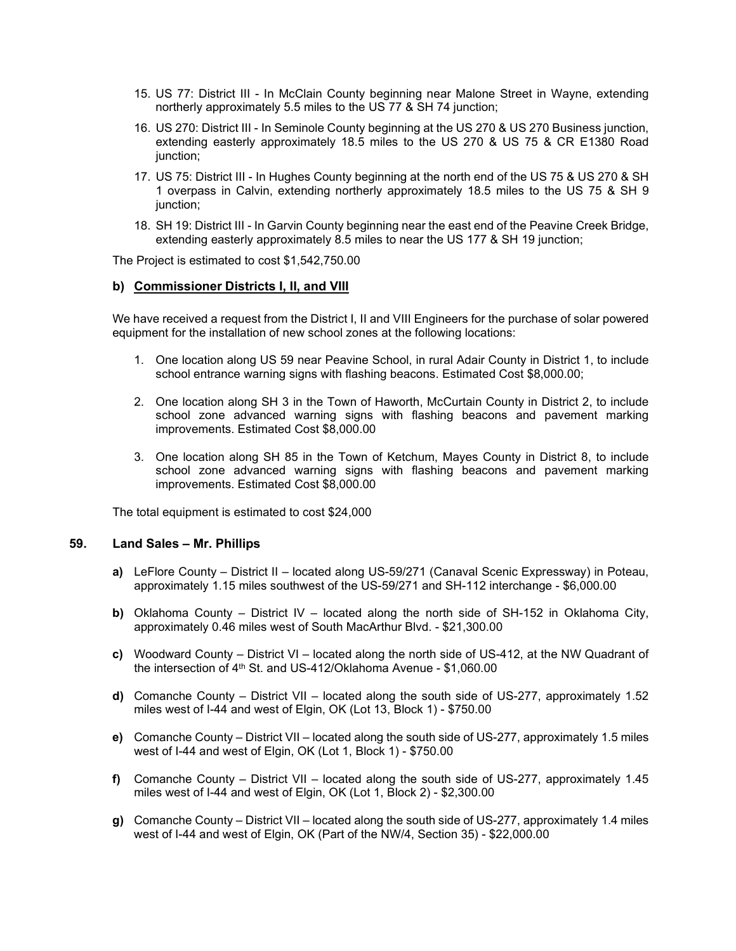- 15. US 77: District III In McClain County beginning near Malone Street in Wayne, extending northerly approximately 5.5 miles to the US 77 & SH 74 junction;
- 16. US 270: District III In Seminole County beginning at the US 270 & US 270 Business junction, extending easterly approximately 18.5 miles to the US 270 & US 75 & CR E1380 Road junction;
- 17. US 75: District III In Hughes County beginning at the north end of the US 75 & US 270 & SH 1 overpass in Calvin, extending northerly approximately 18.5 miles to the US 75 & SH 9 junction;
- 18. SH 19: District III In Garvin County beginning near the east end of the Peavine Creek Bridge, extending easterly approximately 8.5 miles to near the US 177 & SH 19 junction;

The Project is estimated to cost \$1,542,750.00

## **b) Commissioner Districts I, II, and VIII**

We have received a request from the District I, II and VIII Engineers for the purchase of solar powered equipment for the installation of new school zones at the following locations:

- 1. One location along US 59 near Peavine School, in rural Adair County in District 1, to include school entrance warning signs with flashing beacons. Estimated Cost \$8,000.00;
- 2. One location along SH 3 in the Town of Haworth, McCurtain County in District 2, to include school zone advanced warning signs with flashing beacons and pavement marking improvements. Estimated Cost \$8,000.00
- 3. One location along SH 85 in the Town of Ketchum, Mayes County in District 8, to include school zone advanced warning signs with flashing beacons and pavement marking improvements. Estimated Cost \$8,000.00

The total equipment is estimated to cost \$24,000

## **59. Land Sales – Mr. Phillips**

- **a)** LeFlore County District II located along US-59/271 (Canaval Scenic Expressway) in Poteau, approximately 1.15 miles southwest of the US-59/271 and SH-112 interchange - \$6,000.00
- **b)** Oklahoma County District IV located along the north side of SH-152 in Oklahoma City, approximately 0.46 miles west of South MacArthur Blvd. - \$21,300.00
- **c)** Woodward County District VI located along the north side of US-412, at the NW Quadrant of the intersection of 4th St. and US-412/Oklahoma Avenue - \$1,060.00
- **d)** Comanche County District VII located along the south side of US-277, approximately 1.52 miles west of I-44 and west of Elgin, OK (Lot 13, Block 1) - \$750.00
- **e)** Comanche County District VII located along the south side of US-277, approximately 1.5 miles west of I-44 and west of Elgin, OK (Lot 1, Block 1) - \$750.00
- **f)** Comanche County District VII located along the south side of US-277, approximately 1.45 miles west of I-44 and west of Elgin, OK (Lot 1, Block 2) - \$2,300.00
- **g)** Comanche County District VII located along the south side of US-277, approximately 1.4 miles west of I-44 and west of Elgin, OK (Part of the NW/4, Section 35) - \$22,000.00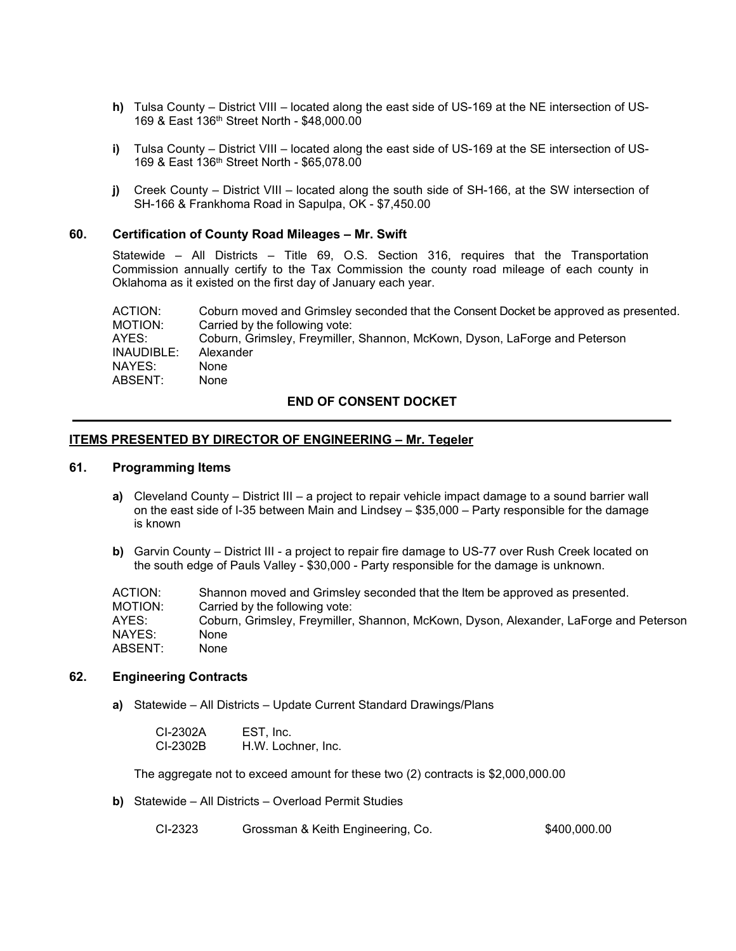- **h)** Tulsa County District VIII located along the east side of US-169 at the NE intersection of US-169 & East 136th Street North - \$48,000.00
- **i)** Tulsa County District VIII located along the east side of US-169 at the SE intersection of US-169 & East 136th Street North - \$65,078.00
- **j)** Creek County District VIII located along the south side of SH-166, at the SW intersection of SH-166 & Frankhoma Road in Sapulpa, OK - \$7,450.00

### **60. Certification of County Road Mileages – Mr. Swift**

Statewide – All Districts – Title 69, O.S. Section 316, requires that the Transportation Commission annually certify to the Tax Commission the county road mileage of each county in Oklahoma as it existed on the first day of January each year.

ACTION: Coburn moved and Grimsley seconded that the Consent Docket be approved as presented.<br>MOTION: Carried by the following vote: Carried by the following vote: AYES: Coburn, Grimsley, Freymiller, Shannon, McKown, Dyson, LaForge and Peterson INAUDIBLE: Alexander NAYES: None ABSENT: None

### **END OF CONSENT DOCKET**

#### **ITEMS PRESENTED BY DIRECTOR OF ENGINEERING – Mr. Tegeler**

#### **61. Programming Items**

- **a)** Cleveland County District III a project to repair vehicle impact damage to a sound barrier wall on the east side of I-35 between Main and Lindsey – \$35,000 – Party responsible for the damage is known
- **b)** Garvin County District III a project to repair fire damage to US-77 over Rush Creek located on the south edge of Pauls Valley - \$30,000 - Party responsible for the damage is unknown.

| Shannon moved and Grimsley seconded that the Item be approved as presented.           |
|---------------------------------------------------------------------------------------|
| Carried by the following vote:                                                        |
| Coburn, Grimsley, Freymiller, Shannon, McKown, Dyson, Alexander, LaForge and Peterson |
| None                                                                                  |
| None                                                                                  |
|                                                                                       |

#### **62. Engineering Contracts**

**a)** Statewide – All Districts – Update Current Standard Drawings/Plans

| CI-2302A | EST, Inc.          |
|----------|--------------------|
| CI-2302B | H.W. Lochner, Inc. |

The aggregate not to exceed amount for these two (2) contracts is \$2,000,000.00

**b)** Statewide – All Districts – Overload Permit Studies

| CI-2323<br>Grossman & Keith Engineering, Co. | \$400,000.00 |
|----------------------------------------------|--------------|
|----------------------------------------------|--------------|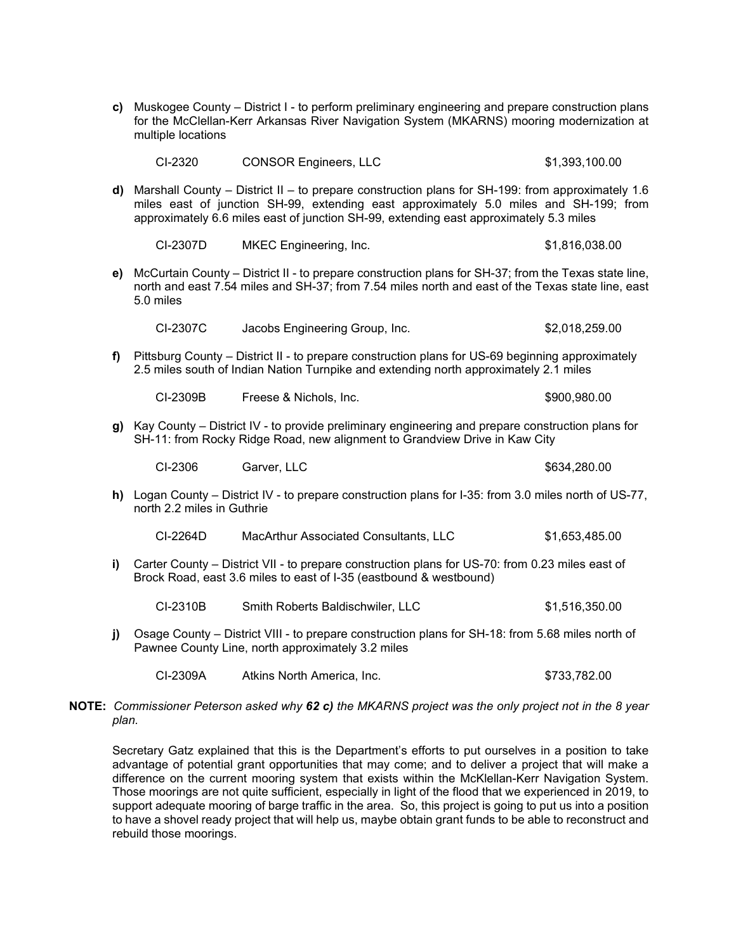| c) Muskogee County – District I - to perform preliminary engineering and prepare construction plans |
|-----------------------------------------------------------------------------------------------------|
| for the McClellan-Kerr Arkansas River Navigation System (MKARNS) mooring modernization at           |
| multiple locations                                                                                  |

| CI-2320 | <b>CONSOR Engineers, LLC</b> | \$1,393,100.00 |
|---------|------------------------------|----------------|
|---------|------------------------------|----------------|

**d)** Marshall County – District II – to prepare construction plans for SH-199: from approximately 1.6 miles east of junction SH-99, extending east approximately 5.0 miles and SH-199; from approximately 6.6 miles east of junction SH-99, extending east approximately 5.3 miles

| CI-2307D | <b>MKEC Engineering, Inc.</b> | \$1,816,038.00 |
|----------|-------------------------------|----------------|
|----------|-------------------------------|----------------|

**e)** McCurtain County – District II - to prepare construction plans for SH-37; from the Texas state line, north and east 7.54 miles and SH-37; from 7.54 miles north and east of the Texas state line, east 5.0 miles

CI-2307C Jacobs Engineering Group, Inc. \$2,018,259.00

**f)** Pittsburg County – District II - to prepare construction plans for US-69 beginning approximately 2.5 miles south of Indian Nation Turnpike and extending north approximately 2.1 miles

CI-2309B Freese & Nichols, Inc. \$900,980.00

**g)** Kay County – District IV - to provide preliminary engineering and prepare construction plans for SH-11: from Rocky Ridge Road, new alignment to Grandview Drive in Kaw City

CI-2306 Garver, LLC \$634,280.00

**h)** Logan County – District IV - to prepare construction plans for I-35: from 3.0 miles north of US-77, north 2.2 miles in Guthrie

| CI-2264D | MacArthur Associated Consultants, LLC | \$1,653,485.00 |
|----------|---------------------------------------|----------------|
|----------|---------------------------------------|----------------|

**i)** Carter County – District VII - to prepare construction plans for US-70: from 0.23 miles east of Brock Road, east 3.6 miles to east of I-35 (eastbound & westbound)

CI-2310B Smith Roberts Baldischwiler, LLC \$1,516,350.00

**j)** Osage County – District VIII - to prepare construction plans for SH-18: from 5.68 miles north of Pawnee County Line, north approximately 3.2 miles

CI-2309A Atkins North America, Inc. \$733,782.00

**NOTE:** *Commissioner Peterson asked why 62 c) the MKARNS project was the only project not in the 8 year plan.* 

Secretary Gatz explained that this is the Department's efforts to put ourselves in a position to take advantage of potential grant opportunities that may come; and to deliver a project that will make a difference on the current mooring system that exists within the McKlellan-Kerr Navigation System. Those moorings are not quite sufficient, especially in light of the flood that we experienced in 2019, to support adequate mooring of barge traffic in the area. So, this project is going to put us into a position to have a shovel ready project that will help us, maybe obtain grant funds to be able to reconstruct and rebuild those moorings.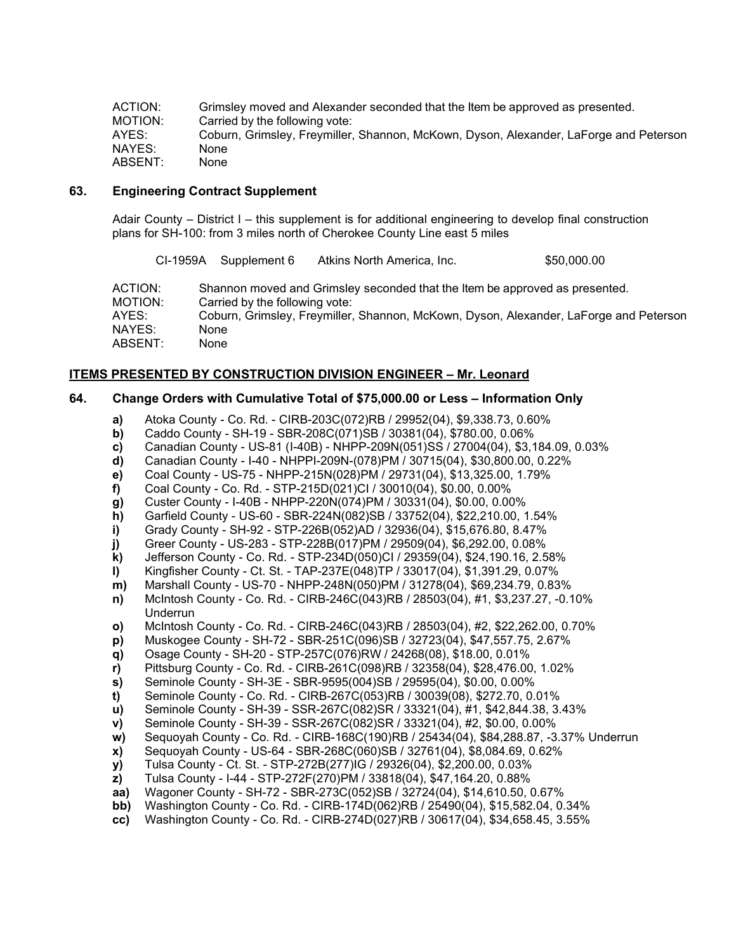ACTION: Grimsley moved and Alexander seconded that the Item be approved as presented.<br>MOTION: Carried by the following vote: MOTION: Carried by the following vote:<br>
AYES: Coburn. Grimslev. Frevmiller. Coburn, Grimsley, Freymiller, Shannon, McKown, Dyson, Alexander, LaForge and Peterson NAYES: None ABSENT: None

# **63. Engineering Contract Supplement**

Adair County – District I – this supplement is for additional engineering to develop final construction plans for SH-100: from 3 miles north of Cherokee County Line east 5 miles

CI-1959A Supplement 6 Atkins North America, Inc. \$50,000.00 ACTION: Shannon moved and Grimsley seconded that the Item be approved as presented. MOTION: Carried by the following vote:<br>
AYES: Coburn. Grimslev. Frevmiller. Coburn, Grimsley, Freymiller, Shannon, McKown, Dyson, Alexander, LaForge and Peterson NAYES: None ABSENT: None

# **ITEMS PRESENTED BY CONSTRUCTION DIVISION ENGINEER – Mr. Leonard**

# **64. Change Orders with Cumulative Total of \$75,000.00 or Less – Information Only**

- **a)** Atoka County Co. Rd. CIRB-203C(072)RB / 29952(04), \$9,338.73, 0.60%
- **b)** Caddo County SH-19 SBR-208C(071)SB / 30381(04), \$780.00, 0.06%
- **c)** Canadian County US-81 (I-40B) NHPP-209N(051)SS / 27004(04), \$3,184.09, 0.03%
- **d)** Canadian County I-40 NHPPI-209N-(078)PM / 30715(04), \$30,800.00, 0.22%
- **e)** Coal County US-75 NHPP-215N(028)PM / 29731(04), \$13,325.00, 1.79%
- **f)** Coal County Co. Rd. STP-215D(021)CI / 30010(04), \$0.00, 0.00%
- **g)** Custer County I-40B NHPP-220N(074)PM / 30331(04), \$0.00, 0.00%
- **h)** Garfield County US-60 SBR-224N(082)SB / 33752(04), \$22,210.00, 1.54%
- **i)** Grady County SH-92 STP-226B(052)AD / 32936(04), \$15,676.80, 8.47%
- **j)** Greer County US-283 STP-228B(017)PM / 29509(04), \$6,292.00, 0.08%
- **k)** Jefferson County Co. Rd. STP-234D(050)CI / 29359(04), \$24,190.16, 2.58%
- **l)** Kingfisher County Ct. St. TAP-237E(048)TP / 33017(04), \$1,391.29, 0.07%
- **m)** Marshall County US-70 NHPP-248N(050)PM / 31278(04), \$69,234.79, 0.83%
- **n)** McIntosh County Co. Rd. CIRB-246C(043)RB / 28503(04), #1, \$3,237.27, -0.10% Underrun
- **o)** McIntosh County Co. Rd. CIRB-246C(043)RB / 28503(04), #2, \$22,262.00, 0.70%
- **p)** Muskogee County SH-72 SBR-251C(096)SB / 32723(04), \$47,557.75, 2.67%
- **q)** Osage County SH-20 STP-257C(076)RW / 24268(08), \$18.00, 0.01%
- **r)** Pittsburg County Co. Rd. CIRB-261C(098)RB / 32358(04), \$28,476.00, 1.02%
- **s)** Seminole County SH-3E SBR-9595(004)SB / 29595(04), \$0.00, 0.00%
- **t)** Seminole County Co. Rd. CIRB-267C(053)RB / 30039(08), \$272.70, 0.01%
- **u)** Seminole County SH-39 SSR-267C(082)SR / 33321(04), #1, \$42,844.38, 3.43%
- **v)** Seminole County SH-39 SSR-267C(082)SR / 33321(04), #2, \$0.00, 0.00%
- **w)** Sequoyah County Co. Rd. CIRB-168C(190)RB / 25434(04), \$84,288.87, -3.37% Underrun
- 
- **x)** Sequoyah County US-64 SBR-268C(060)SB / 32761(04), \$8,084.69, 0.62% **y)** Tulsa County - Ct. St. - STP-272B(277)IG / 29326(04), \$2,200.00, 0.03%
- **z)** Tulsa County I-44 STP-272F(270)PM / 33818(04), \$47,164.20, 0.88%
- **aa)** Wagoner County SH-72 SBR-273C(052)SB / 32724(04), \$14,610.50, 0.67%
- **bb)** Washington County Co. Rd. CIRB-174D(062)RB / 25490(04), \$15,582.04, 0.34%
- **cc)** Washington County Co. Rd. CIRB-274D(027)RB / 30617(04), \$34,658.45, 3.55%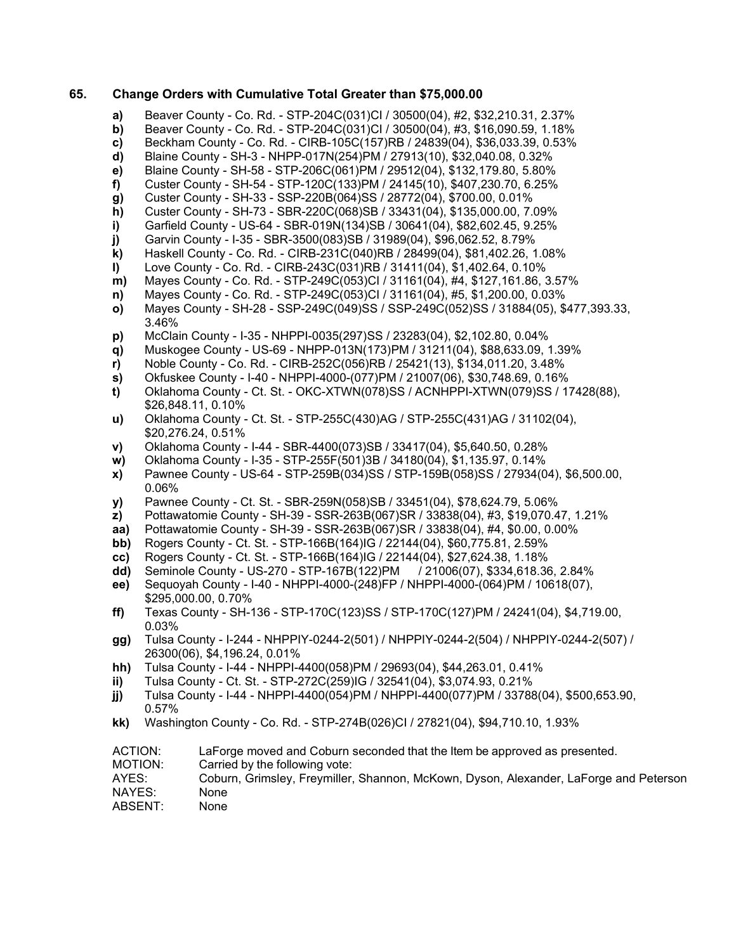### **65. Change Orders with Cumulative Total Greater than \$75,000.00**

- **a)** Beaver County Co. Rd. STP-204C(031)CI / 30500(04), #2, \$32,210.31, 2.37%
- **b)** Beaver County Co. Rd. STP-204C(031)CI / 30500(04), #3, \$16,090.59, 1.18%
- **c)** Beckham County Co. Rd. CIRB-105C(157)RB / 24839(04), \$36,033.39, 0.53%
- **d)** Blaine County SH-3 NHPP-017N(254)PM / 27913(10), \$32,040.08, 0.32%
- **e)** Blaine County SH-58 STP-206C(061)PM / 29512(04), \$132,179.80, 5.80%
- **f)** Custer County SH-54 STP-120C(133)PM / 24145(10), \$407,230.70, 6.25%
- **g)** Custer County SH-33 SSP-220B(064)SS / 28772(04), \$700.00, 0.01%
- 
- **h)** Custer County SH-73 SBR-220C(068)SB / 33431(04), \$135,000.00, 7.09% **i)** Garfield County - US-64 - SBR-019N(134)SB / 30641(04), \$82,602.45, 9.25%
- **j)** Garvin County I-35 SBR-3500(083)SB / 31989(04), \$96,062.52, 8.79%
- **k)** Haskell County Co. Rd. CIRB-231C(040)RB / 28499(04), \$81,402.26, 1.08%
- **l)** Love County Co. Rd. CIRB-243C(031)RB / 31411(04), \$1,402.64, 0.10%
- **m)** Mayes County Co. Rd. STP-249C(053)CI / 31161(04), #4, \$127,161.86, 3.57%
- **n)** Mayes County Co. Rd. STP-249C(053)CI / 31161(04), #5, \$1,200.00, 0.03%
- **o)** Mayes County SH-28 SSP-249C(049)SS / SSP-249C(052)SS / 31884(05), \$477,393.33, 3.46%
- **p)** McClain County I-35 NHPPI-0035(297)SS / 23283(04), \$2,102.80, 0.04%
- **q)** Muskogee County US-69 NHPP-013N(173)PM / 31211(04), \$88,633.09, 1.39%
- **r)** Noble County Co. Rd. CIRB-252C(056)RB / 25421(13), \$134,011.20, 3.48%
- **s)** Okfuskee County I-40 NHPPI-4000-(077)PM / 21007(06), \$30,748.69, 0.16%
- **t)** Oklahoma County Ct. St. OKC-XTWN(078)SS / ACNHPPI-XTWN(079)SS / 17428(88), \$26,848.11, 0.10%
- **u)** Oklahoma County Ct. St. STP-255C(430)AG / STP-255C(431)AG / 31102(04), \$20,276.24, 0.51%
- **v)** Oklahoma County I-44 SBR-4400(073)SB / 33417(04), \$5,640.50, 0.28%
- **w)** Oklahoma County I-35 STP-255F(501)3B / 34180(04), \$1,135.97, 0.14%
- **x)** Pawnee County US-64 STP-259B(034)SS / STP-159B(058)SS / 27934(04), \$6,500.00, 0.06%
- **y)** Pawnee County Ct. St. SBR-259N(058)SB / 33451(04), \$78,624.79, 5.06%
- **z)** Pottawatomie County SH-39 SSR-263B(067)SR / 33838(04), #3, \$19,070.47, 1.21%
- **aa)** Pottawatomie County SH-39 SSR-263B(067)SR / 33838(04), #4, \$0.00, 0.00%<br>**bb)** Rogers County Ct. St. STP-166B(164)IG / 22144(04). \$60.775.81. 2.59%
- **bb)** Rogers County Ct. St. STP-166B(164)IG / 22144(04), \$60,775.81, 2.59%
- **cc)** Rogers County Ct. St. STP-166B(164)IG / 22144(04), \$27,624.38, 1.18%
- **dd)** Seminole County US-270 STP-167B(122)PM / 21006(07), \$334,618.36, 2.84%
- **ee)** Sequoyah County I-40 NHPPI-4000-(248)FP / NHPPI-4000-(064)PM / 10618(07), \$295,000.00, 0.70%
- **ff)** Texas County SH-136 STP-170C(123)SS / STP-170C(127)PM / 24241(04), \$4,719.00, 0.03%
- **gg)** Tulsa County I-244 NHPPIY-0244-2(501) / NHPPIY-0244-2(504) / NHPPIY-0244-2(507) / 26300(06), \$4,196.24, 0.01%
- **hh)** Tulsa County I-44 NHPPI-4400(058)PM / 29693(04), \$44,263.01, 0.41%
- **ii)** Tulsa County Ct. St. STP-272C(259)IG / 32541(04), \$3,074.93, 0.21%
- **jj)** Tulsa County I-44 NHPPI-4400(054)PM / NHPPI-4400(077)PM / 33788(04), \$500,653.90, 0.57%
- **kk)** Washington County Co. Rd. STP-274B(026)CI / 27821(04), \$94,710.10, 1.93%
- ACTION: LaForge moved and Coburn seconded that the Item be approved as presented.
- MOTION: Carried by the following vote:<br>AYES: Coburn, Grimsley, Freymiller,
- Coburn, Grimsley, Freymiller, Shannon, McKown, Dyson, Alexander, LaForge and Peterson NAYES: None
- ABSENT: None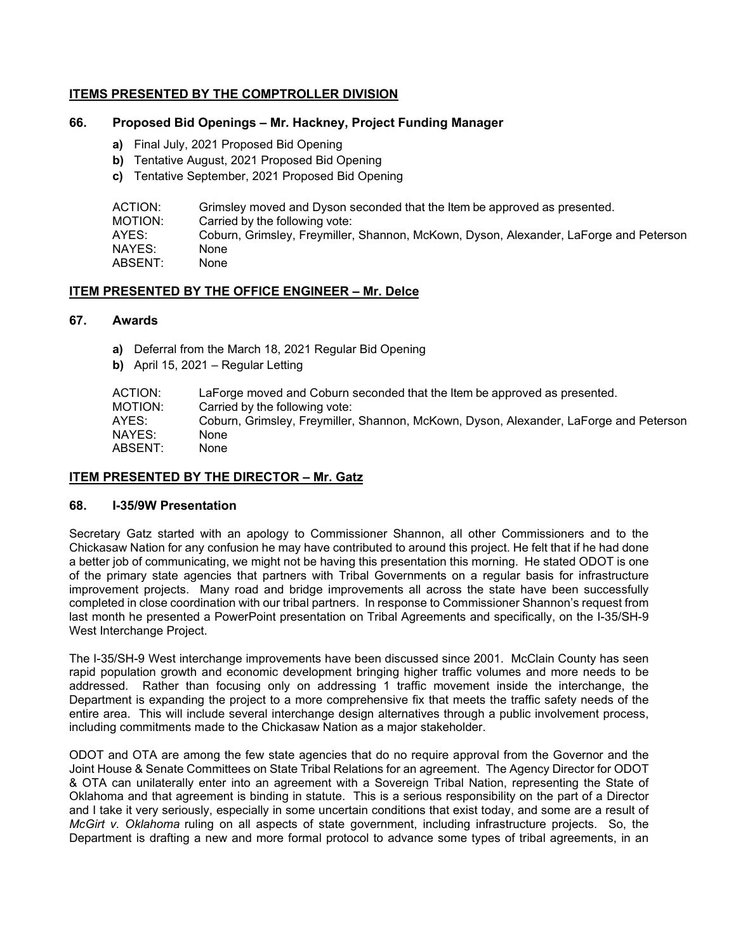# **ITEMS PRESENTED BY THE COMPTROLLER DIVISION**

# **66. Proposed Bid Openings – Mr. Hackney, Project Funding Manager**

- **a)** Final July, 2021 Proposed Bid Opening
- **b)** Tentative August, 2021 Proposed Bid Opening
- **c)** Tentative September, 2021 Proposed Bid Opening

| ACTION: | Grimsley moved and Dyson seconded that the Item be approved as presented.             |
|---------|---------------------------------------------------------------------------------------|
| MOTION: | Carried by the following vote:                                                        |
| AYES:   | Coburn, Grimsley, Freymiller, Shannon, McKown, Dyson, Alexander, LaForge and Peterson |
| NAYES:  | None                                                                                  |
| ABSENT: | None                                                                                  |

# **ITEM PRESENTED BY THE OFFICE ENGINEER – Mr. Delce**

#### **67. Awards**

- **a)** Deferral from the March 18, 2021 Regular Bid Opening
- **b)** April 15, 2021 Regular Letting

| ACTION:<br>MOTION: | LaForge moved and Coburn seconded that the Item be approved as presented.<br>Carried by the following vote: |
|--------------------|-------------------------------------------------------------------------------------------------------------|
| AYES:              | Coburn, Grimsley, Freymiller, Shannon, McKown, Dyson, Alexander, LaForge and Peterson                       |
| NAYES:             | None                                                                                                        |
| ABSENT:            | None                                                                                                        |

## **ITEM PRESENTED BY THE DIRECTOR – Mr. Gatz**

## **68. I-35/9W Presentation**

Secretary Gatz started with an apology to Commissioner Shannon, all other Commissioners and to the Chickasaw Nation for any confusion he may have contributed to around this project. He felt that if he had done a better job of communicating, we might not be having this presentation this morning. He stated ODOT is one of the primary state agencies that partners with Tribal Governments on a regular basis for infrastructure improvement projects. Many road and bridge improvements all across the state have been successfully completed in close coordination with our tribal partners. In response to Commissioner Shannon's request from last month he presented a PowerPoint presentation on Tribal Agreements and specifically, on the I-35/SH-9 West Interchange Project.

The I-35/SH-9 West interchange improvements have been discussed since 2001. McClain County has seen rapid population growth and economic development bringing higher traffic volumes and more needs to be addressed. Rather than focusing only on addressing 1 traffic movement inside the interchange, the Department is expanding the project to a more comprehensive fix that meets the traffic safety needs of the entire area. This will include several interchange design alternatives through a public involvement process, including commitments made to the Chickasaw Nation as a major stakeholder.

ODOT and OTA are among the few state agencies that do no require approval from the Governor and the Joint House & Senate Committees on State Tribal Relations for an agreement. The Agency Director for ODOT & OTA can unilaterally enter into an agreement with a Sovereign Tribal Nation, representing the State of Oklahoma and that agreement is binding in statute. This is a serious responsibility on the part of a Director and I take it very seriously, especially in some uncertain conditions that exist today, and some are a result of *McGirt v. Oklahoma* ruling on all aspects of state government, including infrastructure projects. So, the Department is drafting a new and more formal protocol to advance some types of tribal agreements, in an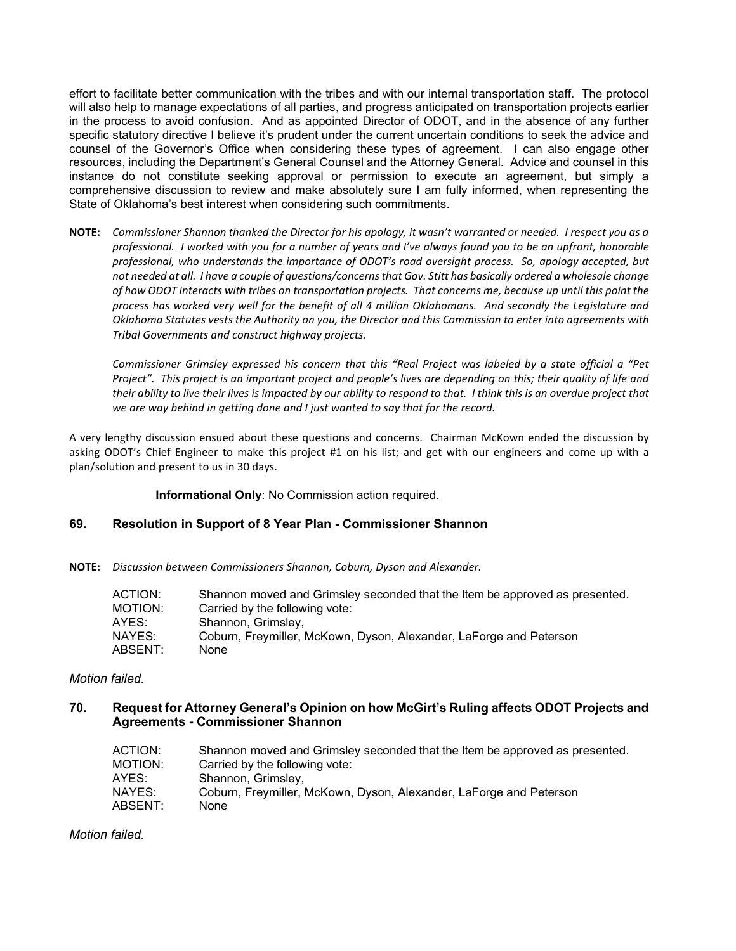effort to facilitate better communication with the tribes and with our internal transportation staff. The protocol will also help to manage expectations of all parties, and progress anticipated on transportation projects earlier in the process to avoid confusion. And as appointed Director of ODOT, and in the absence of any further specific statutory directive I believe it's prudent under the current uncertain conditions to seek the advice and counsel of the Governor's Office when considering these types of agreement. I can also engage other resources, including the Department's General Counsel and the Attorney General. Advice and counsel in this instance do not constitute seeking approval or permission to execute an agreement, but simply a comprehensive discussion to review and make absolutely sure I am fully informed, when representing the State of Oklahoma's best interest when considering such commitments.

**NOTE:** *Commissioner Shannon thanked the Director for his apology, it wasn't warranted or needed. I respect you as a professional. I worked with you for a number of years and I've always found you to be an upfront, honorable professional, who understands the importance of ODOT's road oversight process. So, apology accepted, but not needed at all. I have a couple of questions/concerns that Gov. Stitt has basically ordered a wholesale change of how ODOT interacts with tribes on transportation projects. That concerns me, because up until this point the process has worked very well for the benefit of all 4 million Oklahomans. And secondly the Legislature and Oklahoma Statutes vests the Authority on you, the Director and this Commission to enter into agreements with Tribal Governments and construct highway projects.* 

*Commissioner Grimsley expressed his concern that this "Real Project was labeled by a state official a "Pet*  Project". This project is an important project and people's lives are depending on this; their quality of life and *their ability to live their lives is impacted by our ability to respond to that. I think this is an overdue project that we are way behind in getting done and I just wanted to say that for the record.*

A very lengthy discussion ensued about these questions and concerns. Chairman McKown ended the discussion by asking ODOT's Chief Engineer to make this project #1 on his list; and get with our engineers and come up with a plan/solution and present to us in 30 days.

**Informational Only**: No Commission action required.

## **69. Resolution in Support of 8 Year Plan - Commissioner Shannon**

**NOTE:** *Discussion between Commissioners Shannon, Coburn, Dyson and Alexander.*

| ACTION: | Shannon moved and Grimsley seconded that the Item be approved as presented. |
|---------|-----------------------------------------------------------------------------|
| MOTION: | Carried by the following vote:                                              |
| AYES:   | Shannon, Grimsley,                                                          |
| NAYES:  | Coburn, Freymiller, McKown, Dyson, Alexander, LaForge and Peterson          |
| ABSENT: | <b>None</b>                                                                 |

## *Motion failed.*

# **70. Request for Attorney General's Opinion on how McGirt's Ruling affects ODOT Projects and Agreements - Commissioner Shannon**

| Shannon moved and Grimsley seconded that the Item be approved as presented. |
|-----------------------------------------------------------------------------|
| Carried by the following vote:                                              |
| Shannon, Grimsley,                                                          |
| Coburn, Freymiller, McKown, Dyson, Alexander, LaForge and Peterson          |
| <b>None</b>                                                                 |
|                                                                             |

*Motion failed.*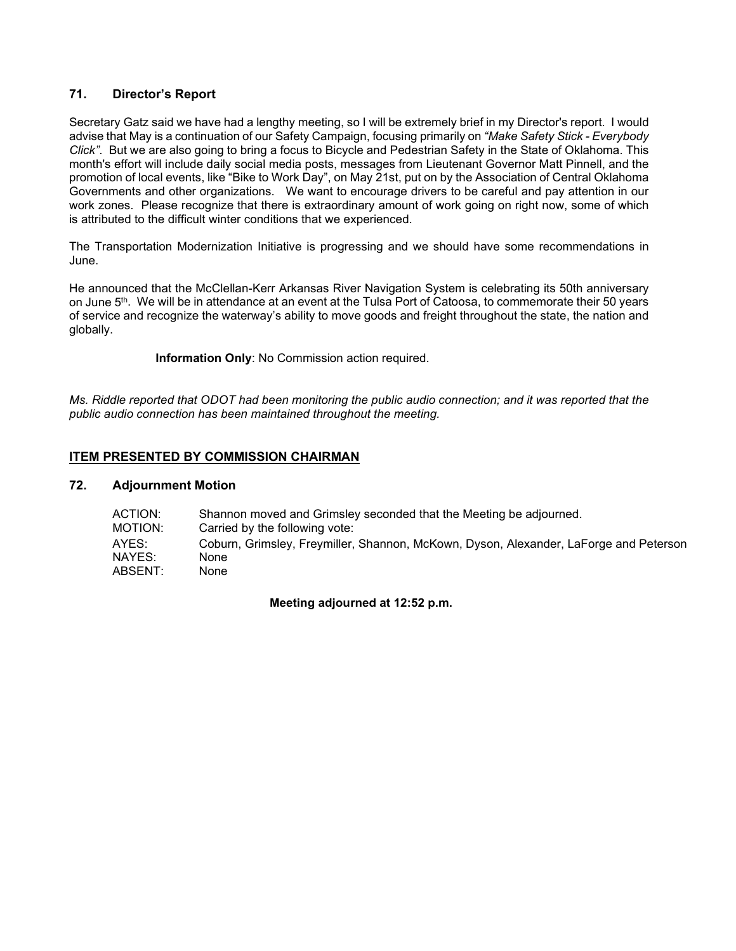# **71. Director's Report**

Secretary Gatz said we have had a lengthy meeting, so I will be extremely brief in my Director's report. I would advise that May is a continuation of our Safety Campaign, focusing primarily on *"Make Safety Stick - Everybody Click"*. But we are also going to bring a focus to Bicycle and Pedestrian Safety in the State of Oklahoma. This month's effort will include daily social media posts, messages from Lieutenant Governor Matt Pinnell, and the promotion of local events, like "Bike to Work Day", on May 21st, put on by the Association of Central Oklahoma Governments and other organizations. We want to encourage drivers to be careful and pay attention in our work zones. Please recognize that there is extraordinary amount of work going on right now, some of which is attributed to the difficult winter conditions that we experienced.

The Transportation Modernization Initiative is progressing and we should have some recommendations in June.

He announced that the McClellan-Kerr Arkansas River Navigation System is celebrating its 50th anniversary on June 5th. We will be in attendance at an event at the Tulsa Port of Catoosa, to commemorate their 50 years of service and recognize the waterway's ability to move goods and freight throughout the state, the nation and globally.

**Information Only**: No Commission action required.

*Ms. Riddle reported that ODOT had been monitoring the public audio connection; and it was reported that the public audio connection has been maintained throughout the meeting.*

# **ITEM PRESENTED BY COMMISSION CHAIRMAN**

## **72. Adjournment Motion**

| ACTION:<br>MOTION: | Shannon moved and Grimsley seconded that the Meeting be adjourned.<br>Carried by the following vote: |
|--------------------|------------------------------------------------------------------------------------------------------|
| AYES:              | Coburn, Grimsley, Freymiller, Shannon, McKown, Dyson, Alexander, LaForge and Peterson                |
| NAYES:             | None                                                                                                 |
| ABSENT:            | None                                                                                                 |

**Meeting adjourned at 12:52 p.m.**